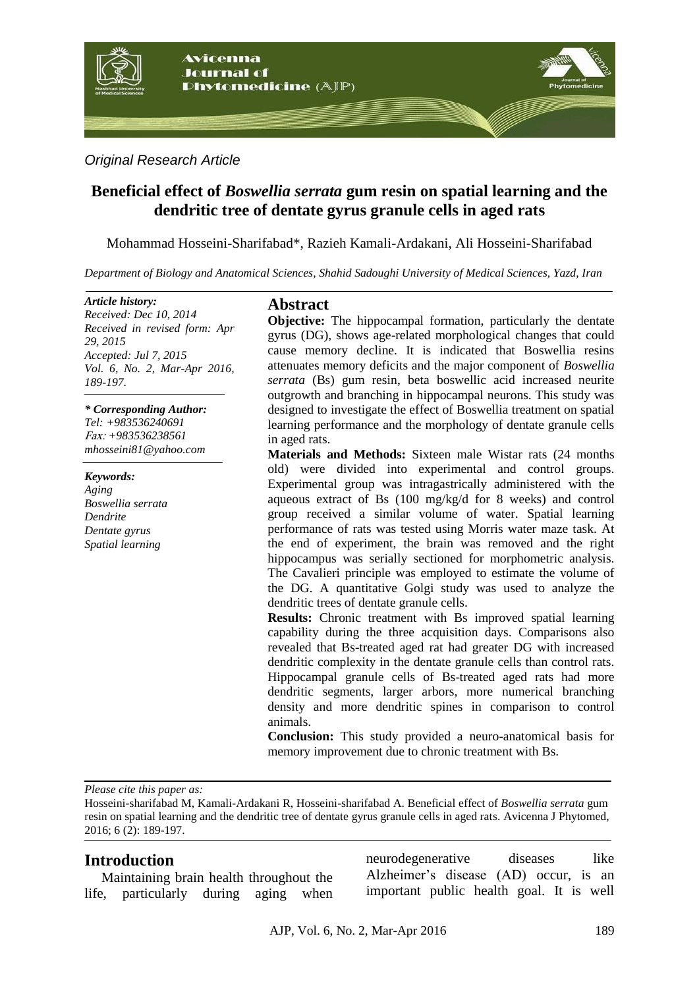

*Original Research Article*

# **Beneficial effect of** *Boswellia serrata* **gum resin on spatial learning and the dendritic tree of dentate gyrus granule cells in aged rats**

Mohammad Hosseini-Sharifabad\*, Razieh Kamali-Ardakani, Ali Hosseini-Sharifabad

*Department of Biology and Anatomical Sciences, Shahid Sadoughi University of Medical Sciences, Yazd, Iran*

#### *Article history:*

*Received: Dec 10, 2014 Received in revised form: Apr 29, 2015 Accepted: Jul 7, 2015 Vol. 6, No. 2, Mar-Apr 2016, 189-197.*

*\* Corresponding Author: Tel: +983536240691* xaF: *+983536238561 mhosseini81@yahoo.com*

*Keywords: Aging Boswellia serrata Dendrite Dentate gyrus Spatial learning*

## **Abstract**

**Objective:** The hippocampal formation, particularly the dentate gyrus (DG), shows age-related morphological changes that could cause memory decline. It is indicated that Boswellia resins attenuates memory deficits and the major component of *Boswellia serrata* (Bs) gum resin, beta boswellic acid increased neurite outgrowth and branching in hippocampal neurons. This study was designed to investigate the effect of Boswellia treatment on spatial learning performance and the morphology of dentate granule cells in aged rats.

**Materials and Methods:** Sixteen male Wistar rats (24 months old) were divided into experimental and control groups. Experimental group was intragastrically administered with the aqueous extract of Bs (100 mg/kg/d for 8 weeks) and control group received a similar volume of water. Spatial learning performance of rats was tested using Morris water maze task. At the end of experiment, the brain was removed and the right hippocampus was serially sectioned for morphometric analysis. The Cavalieri principle was employed to estimate the volume of the DG. A quantitative Golgi study was used to analyze the dendritic trees of dentate granule cells.

**Results:** Chronic treatment with Bs improved spatial learning capability during the three acquisition days. Comparisons also revealed that Bs-treated aged rat had greater DG with increased dendritic complexity in the dentate granule cells than control rats. Hippocampal granule cells of Bs-treated aged rats had more dendritic segments, larger arbors, more numerical branching density and more dendritic spines in comparison to control animals.

**Conclusion:** This study provided a neuro-anatomical basis for memory improvement due to chronic treatment with Bs.

*Please cite this paper as:* 

Hosseini-sharifabad M, Kamali-Ardakani R, Hosseini-sharifabad A. Beneficial effect of *Boswellia serrata* gum resin on spatial learning and the dendritic tree of dentate gyrus granule cells in aged rats. Avicenna J Phytomed, 2016; 6 (2): 189-197.

## **Introduction**

Maintaining brain health throughout the life, particularly during aging when neurodegenerative diseases like Alzheimer's disease (AD) occur, is an important public health goal. It is well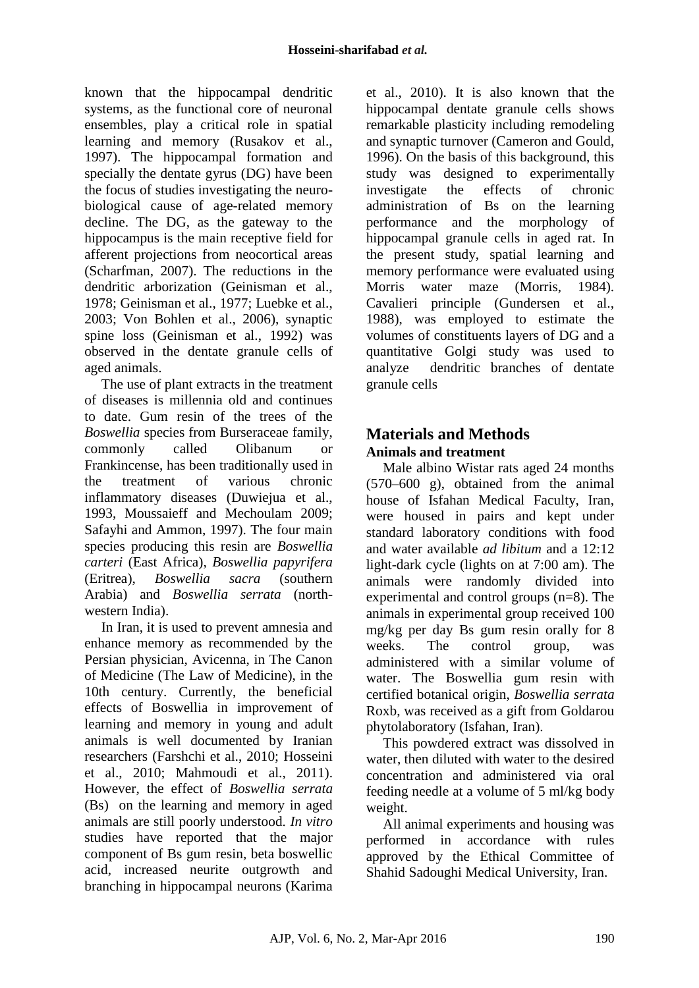known that the hippocampal dendritic systems, as the functional core of neuronal ensembles, play a critical role in spatial learning and memory (Rusakov et al., 1997). The hippocampal formation and specially the dentate gyrus (DG) have been the focus of studies investigating the neurobiological cause of age-related memory decline. The DG, as the gateway to the hippocampus is the main receptive field for afferent projections from neocortical areas (Scharfman, 2007). The reductions in the dendritic arborization (Geinisman et al., 1978; Geinisman et al., 1977; Luebke et al., 2003; Von Bohlen et al., 2006), synaptic spine loss (Geinisman et al., 1992) was observed in the dentate granule cells of aged animals.

The use of plant extracts in the treatment of diseases is millennia old and continues to date. Gum resin of the trees of the *Boswellia* species from Burseraceae family, commonly called Olibanum or Frankincense, has been traditionally used in the treatment of various chronic inflammatory diseases (Duwiejua et al., 1993, Moussaieff and Mechoulam 2009; Safayhi and Ammon, 1997). The four main species producing this resin are *Boswellia carteri* (East Africa), *Boswellia papyrifera* (Eritrea), *Boswellia sacra* (southern Arabia) and *Boswellia serrata* (northwestern India).

In Iran, it is used to prevent amnesia and enhance memory as recommended by the Persian physician, Avicenna, in The Canon of Medicine (The Law of Medicine), in the 10th century. Currently, the beneficial effects of Boswellia in improvement of learning and memory in young and adult animals is well documented by Iranian researchers (Farshchi et al., 2010; Hosseini et al., 2010; Mahmoudi et al., 2011). However, the effect of *Boswellia serrata* (Bs) on the learning and memory in aged animals are still poorly understood. *In vitro* studies have reported that the major component of Bs gum resin, beta boswellic acid, increased neurite outgrowth and branching in hippocampal neurons (Karima et al., 2010). It is also known that the hippocampal dentate granule cells shows remarkable plasticity including remodeling and synaptic turnover (Cameron and Gould, 1996). On the basis of this background, this study was designed to experimentally investigate the effects of chronic administration of Bs on the learning performance and the morphology of hippocampal granule cells in aged rat. In the present study, spatial learning and memory performance were evaluated using Morris water maze (Morris, 1984). Cavalieri principle (Gundersen et al., 1988), was employed to estimate the volumes of constituents layers of DG and a quantitative Golgi study was used to analyze dendritic branches of dentate granule cells

# **Materials and Methods Animals and treatment**

Male albino Wistar rats aged 24 months (570–600 g), obtained from the animal house of Isfahan Medical Faculty, Iran, were housed in pairs and kept under standard laboratory conditions with food and water available *ad libitum* and a 12:12 light-dark cycle (lights on at 7:00 am). The animals were randomly divided into experimental and control groups (n=8). The animals in experimental group received 100 mg/kg per day Bs gum resin orally for 8 weeks. The control group, was administered with a similar volume of water. The Boswellia gum resin with certified botanical origin, *Boswellia serrata* Roxb, was received as a gift from Goldarou phytolaboratory (Isfahan, Iran).

This powdered extract was dissolved in water, then diluted with water to the desired concentration and administered via oral feeding needle at a volume of 5 ml/kg body weight.

All animal experiments and housing was performed in accordance with rules approved by the Ethical Committee of Shahid Sadoughi Medical University, Iran.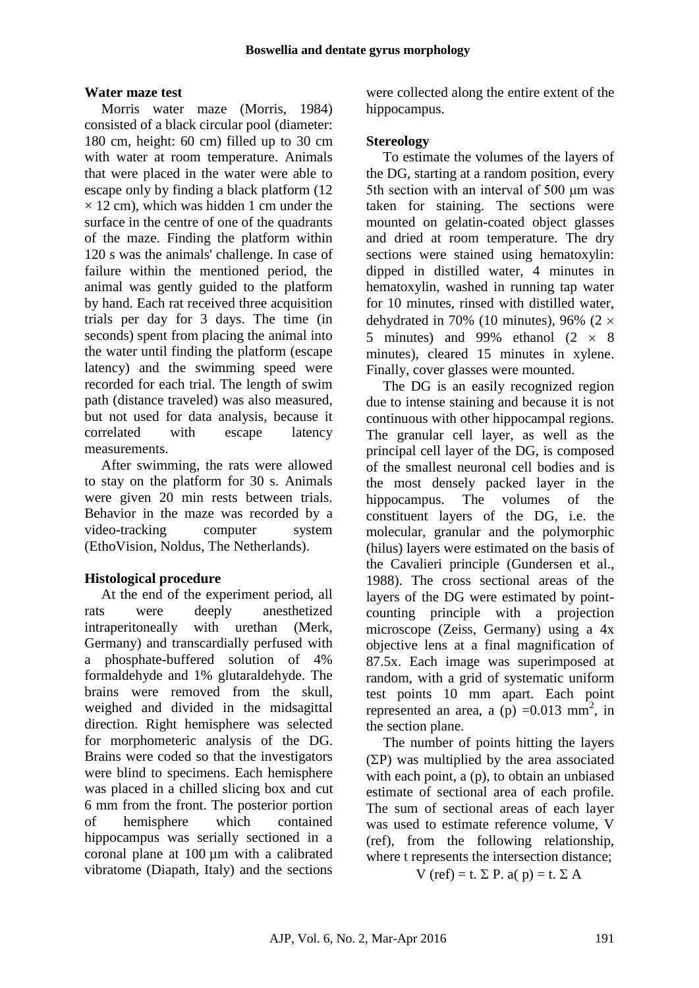## **Water maze test**

Morris water maze (Morris, 1984) consisted of a black circular pool (diameter: 180 cm, height: 60 cm) filled up to 30 cm with water at room temperature. Animals that were placed in the water were able to escape only by finding a black platform (12  $\times$  12 cm), which was hidden 1 cm under the surface in the centre of one of the quadrants of the maze. Finding the platform within 120 s was the animals' challenge. In case of failure within the mentioned period, the animal was gently guided to the platform by hand. Each rat received three acquisition trials per day for 3 days. The time (in seconds) spent from placing the animal into the water until finding the platform (escape latency) and the swimming speed were recorded for each trial. The length of swim path (distance traveled) was also measured, but not used for data analysis, because it correlated with escape latency measurements.

After swimming, the rats were allowed to stay on the platform for 30 s. Animals were given 20 min rests between trials. Behavior in the maze was recorded by a video-tracking computer system (EthoVision, Noldus, The Netherlands).

## **Histological procedure**

At the end of the experiment period, all rats were deeply anesthetized intraperitoneally with urethan (Merk, Germany) and transcardially perfused with a phosphate-buffered solution of 4% formaldehyde and 1% glutaraldehyde. The brains were removed from the skull, weighed and divided in the midsagittal direction. Right hemisphere was selected for morphometeric analysis of the DG. Brains were coded so that the investigators were blind to specimens. Each hemisphere was placed in a chilled slicing box and cut 6 mm from the front. The posterior portion of hemisphere which contained hippocampus was serially sectioned in a coronal plane at 100 µm with a calibrated vibratome (Diapath, Italy) and the sections were collected along the entire extent of the hippocampus.

#### **Stereology**

To estimate the volumes of the layers of the DG, starting at a random position, every 5th section with an interval of 500 μm was taken for staining. The sections were mounted on gelatin-coated object glasses and dried at room temperature. The dry sections were stained using hematoxylin: dipped in distilled water, 4 minutes in hematoxylin, washed in running tap water for 10 minutes, rinsed with distilled water, dehydrated in 70% (10 minutes), 96% (2  $\times$ 5 minutes) and 99% ethanol  $(2 \times 8)$ minutes), cleared 15 minutes in xylene. Finally, cover glasses were mounted.

The DG is an easily recognized region due to intense staining and because it is not continuous with other hippocampal regions. The granular cell layer, as well as the principal cell layer of the DG, is composed of the smallest neuronal cell bodies and is the most densely packed layer in the hippocampus. The volumes of the constituent layers of the DG, i.e. the molecular, granular and the polymorphic (hilus) layers were estimated on the basis of the Cavalieri principle (Gundersen et al., 1988). The cross sectional areas of the layers of the DG were estimated by pointcounting principle with a projection microscope (Zeiss, Germany) using a 4x objective lens at a final magnification of 87.5x. Each image was superimposed at random, with a grid of systematic uniform test points 10 mm apart. Each point represented an area, a  $(p) = 0.013$  mm<sup>2</sup>, in the section plane.

The number of points hitting the layers  $(\Sigma P)$  was multiplied by the area associated with each point, a (p), to obtain an unbiased estimate of sectional area of each profile. The sum of sectional areas of each layer was used to estimate reference volume, V (ref), from the following relationship, where t represents the intersection distance;

V (ref) = t.  $\Sigma$  P. a( p) = t.  $\Sigma$  A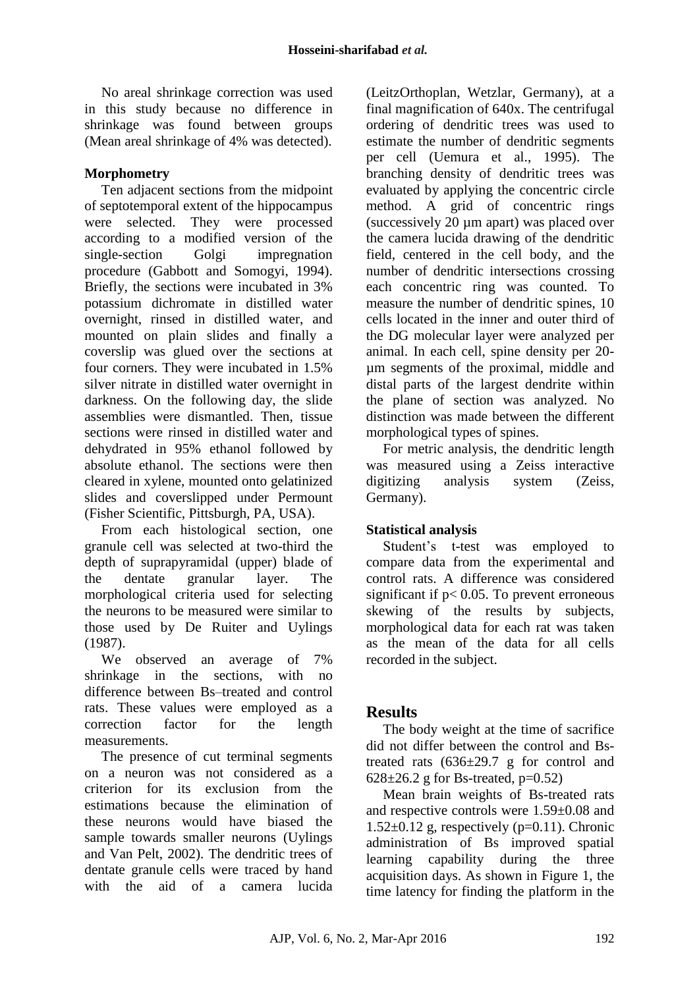No areal shrinkage correction was used in this study because no difference in shrinkage was found between groups (Mean areal shrinkage of 4% was detected).

## **Morphometry**

Ten adjacent sections from the midpoint of septotemporal extent of the hippocampus were selected. They were processed according to a modified version of the single-section Golgi impregnation procedure (Gabbott and Somogyi, 1994). Briefly, the sections were incubated in 3% potassium dichromate in distilled water overnight, rinsed in distilled water, and mounted on plain slides and finally a coverslip was glued over the sections at four corners. They were incubated in 1.5% silver nitrate in distilled water overnight in darkness. On the following day, the slide assemblies were dismantled. Then, tissue sections were rinsed in distilled water and dehydrated in 95% ethanol followed by absolute ethanol. The sections were then cleared in xylene, mounted onto gelatinized slides and coverslipped under Permount (Fisher Scientific, Pittsburgh, PA, USA).

From each histological section, one granule cell was selected at two-third the depth of suprapyramidal (upper) blade of the dentate granular layer. The morphological criteria used for selecting the neurons to be measured were similar to those used by De Ruiter and Uylings (1987).

We observed an average of 7% shrinkage in the sections, with no difference between Bs–treated and control rats. These values were employed as a correction factor for the length measurements.

The presence of cut terminal segments on a neuron was not considered as a criterion for its exclusion from the estimations because the elimination of these neurons would have biased the sample towards smaller neurons (Uylings and Van Pelt, 2002). The dendritic trees of dentate granule cells were traced by hand with the aid of a camera lucida

(LeitzOrthoplan, Wetzlar, Germany), at a final magnification of 640x. The centrifugal ordering of dendritic trees was used to estimate the number of dendritic segments per cell (Uemura et al., 1995). The branching density of dendritic trees was evaluated by applying the concentric circle method. A grid of concentric rings (successively 20 µm apart) was placed over the camera lucida drawing of the dendritic field, centered in the cell body, and the number of dendritic intersections crossing each concentric ring was counted. To measure the number of dendritic spines, 10 cells located in the inner and outer third of the DG molecular layer were analyzed per animal. In each cell, spine density per 20 µm segments of the proximal, middle and distal parts of the largest dendrite within the plane of section was analyzed. No distinction was made between the different morphological types of spines.

For metric analysis, the dendritic length was measured using a Zeiss interactive digitizing analysis system (Zeiss, Germany).

## **Statistical analysis**

Student's t-test was employed to compare data from the experimental and control rats. A difference was considered significant if  $p < 0.05$ . To prevent erroneous skewing of the results by subjects, morphological data for each rat was taken as the mean of the data for all cells recorded in the subject.

# **Results**

The body weight at the time of sacrifice did not differ between the control and Bstreated rats  $(636\pm29.7)$  g for control and  $628 \pm 26.2$  g for Bs-treated, p=0.52)

Mean brain weights of Bs-treated rats and respective controls were 1.59±0.08 and  $1.52\pm0.12$  g, respectively (p=0.11). Chronic administration of Bs improved spatial learning capability during the three acquisition days. As shown in Figure 1, the time latency for finding the platform in the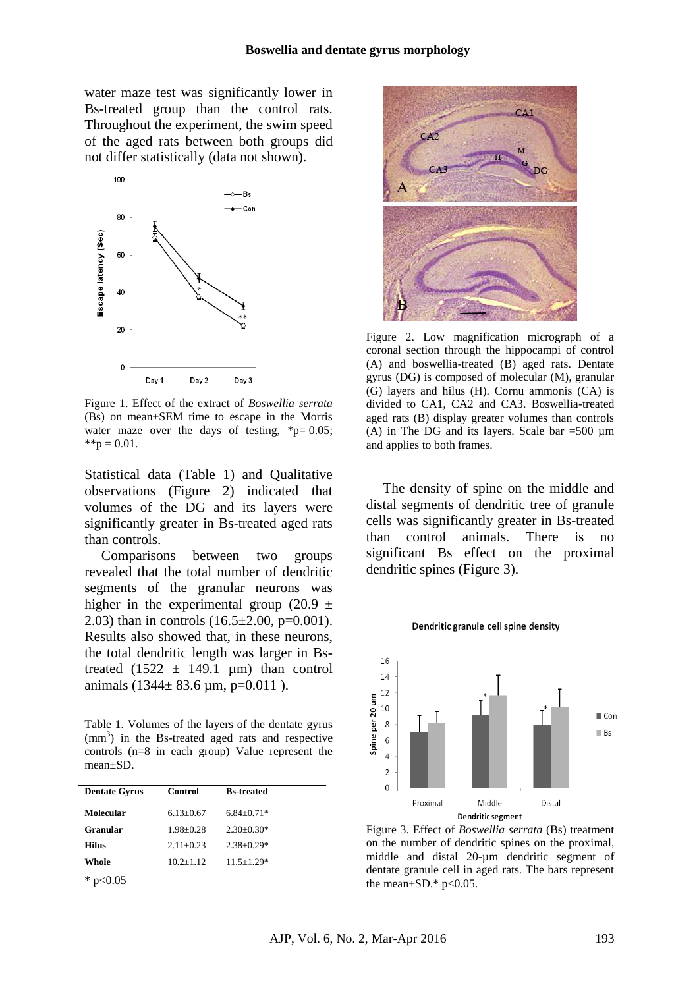water maze test was significantly lower in Bs-treated group than the control rats. Throughout the experiment, the swim speed of the aged rats between both groups did not differ statistically (data not shown).



Figure 1. Effect of the extract of *Boswellia serrata* (Bs) on mean±SEM time to escape in the Morris water maze over the days of testing,  $\text{*p}= 0.05$ ;  $*$  $p = 0.01$ .

Statistical data (Table 1) and Qualitative observations (Figure 2) indicated that volumes of the DG and its layers were significantly greater in Bs-treated aged rats than controls.

Comparisons between two groups revealed that the total number of dendritic segments of the granular neurons was higher in the experimental group (20.9  $\pm$ 2.03) than in controls  $(16.5 \pm 2.00, p=0.001)$ . Results also showed that, in these neurons, the total dendritic length was larger in Bstreated  $(1522 \pm 149.1 \mu m)$  than control animals  $(1344 \pm 83.6 \text{ µm}, \text{p=0.011}).$ 

Table 1. Volumes of the layers of the dentate gyrus  $\text{ (mm}^3)$  in the Bs-treated aged rats and respective controls (n=8 in each group) Value represent the mean±SD.

| <b>Dentate Gyrus</b> | Control       | <b>Bs-treated</b> |  |
|----------------------|---------------|-------------------|--|
| <b>Molecular</b>     | $6.13 + 0.67$ | $6.84 + 0.71*$    |  |
| <b>Granular</b>      | $1.98 + 0.28$ | $2.30+0.30*$      |  |
| <b>Hilus</b>         | $2.11 + 0.23$ | $2.38 \pm 0.29*$  |  |
| Whole                | $10.2 + 1.12$ | $11.5 + 1.29*$    |  |
| p<0.05               |               |                   |  |



Figure 2. Low magnification micrograph of a coronal section through the hippocampi of control (A) and boswellia-treated (B) aged rats. Dentate gyrus (DG) is composed of molecular (M), granular (G) layers and hilus (H). Cornu ammonis (CA) is divided to CA1, CA2 and CA3. Boswellia-treated aged rats (B) display greater volumes than controls (A) in The DG and its layers. Scale bar  $=500 \mu m$ and applies to both frames.

The density of spine on the middle and distal segments of dendritic tree of granule cells was significantly greater in Bs-treated than control animals. There is no significant Bs effect on the proximal dendritic spines (Figure 3).

Dendritic granule cell spine density



Figure 3. Effect of *Boswellia serrata* (Bs) treatment on the number of dendritic spines on the proximal, middle and distal 20-µm dendritic segment of dentate granule cell in aged rats. The bars represent the mean $\pm$ SD.\* p<0.05.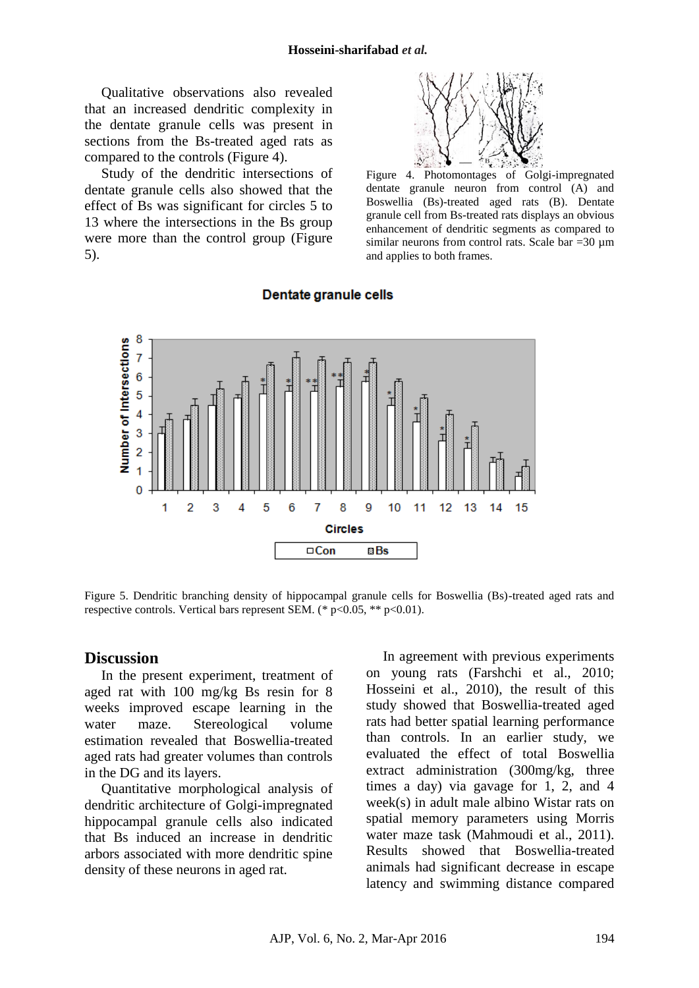Qualitative observations also revealed that an increased dendritic complexity in the dentate granule cells was present in sections from the Bs-treated aged rats as compared to the controls (Figure 4).

Study of the dendritic intersections of dentate granule cells also showed that the effect of Bs was significant for circles 5 to 13 where the intersections in the Bs group were more than the control group (Figure 5).



Figure 4. Photomontages of Golgi-impregnated dentate granule neuron from control (A) and Boswellia (Bs)-treated aged rats (B). Dentate granule cell from Bs-treated rats displays an obvious enhancement of dendritic segments as compared to similar neurons from control rats. Scale bar  $=30 \text{ µm}$ and applies to both frames.



#### Dentate granule cells

Figure 5. Dendritic branching density of hippocampal granule cells for Boswellia (Bs)-treated aged rats and respective controls. Vertical bars represent SEM. (\*  $p<0.05$ , \*\*  $p<0.01$ ).

#### **Discussion**

In the present experiment, treatment of aged rat with 100 mg/kg Bs resin for 8 weeks improved escape learning in the water maze. Stereological volume estimation revealed that Boswellia-treated aged rats had greater volumes than controls in the DG and its layers.

Quantitative morphological analysis of dendritic architecture of Golgi-impregnated hippocampal granule cells also indicated that Bs induced an increase in dendritic arbors associated with more dendritic spine density of these neurons in aged rat.

In agreement with previous experiments on young rats (Farshchi et al., 2010; Hosseini et al., 2010), the result of this study showed that Boswellia-treated aged rats had better spatial learning performance than controls. In an earlier study, we evaluated the effect of total Boswellia extract administration (300mg/kg, three times a day) via gavage for 1, 2, and 4 week(s) in adult male albino Wistar rats on spatial memory parameters using Morris water maze task (Mahmoudi et al., 2011). Results showed that Boswellia-treated animals had significant decrease in escape latency and swimming distance compared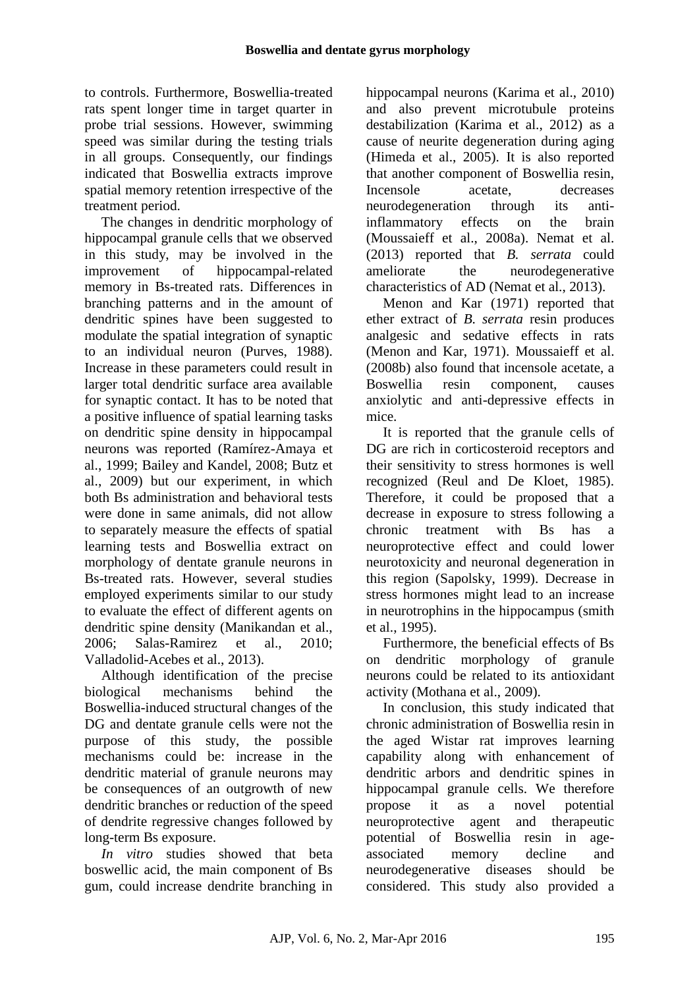to controls. Furthermore, Boswellia-treated rats spent longer time in target quarter in probe trial sessions. However, swimming speed was similar during the testing trials in all groups. Consequently, our findings indicated that Boswellia extracts improve spatial memory retention irrespective of the treatment period.

The changes in dendritic morphology of hippocampal granule cells that we observed in this study, may be involved in the improvement of hippocampal-related memory in Bs-treated rats. Differences in branching patterns and in the amount of dendritic spines have been suggested to modulate the spatial integration of synaptic to an individual neuron (Purves, 1988). Increase in these parameters could result in larger total dendritic surface area available for synaptic contact. It has to be noted that a positive influence of spatial learning tasks on dendritic spine density in hippocampal neurons was reported (Ramírez-Amaya et al., 1999; Bailey and Kandel, 2008; Butz et al., 2009) but our experiment, in which both Bs administration and behavioral tests were done in same animals, did not allow to separately measure the effects of spatial learning tests and Boswellia extract on morphology of dentate granule neurons in Bs-treated rats. However, several studies employed experiments similar to our study to evaluate the effect of different agents on dendritic spine density (Manikandan et al., 2006; Salas-Ramirez et al., 2010; Valladolid-Acebes et al., 2013).

Although identification of the precise biological mechanisms behind the Boswellia-induced structural changes of the DG and dentate granule cells were not the purpose of this study, the possible mechanisms could be: increase in the dendritic material of granule neurons may be consequences of an outgrowth of new dendritic branches or reduction of the speed of dendrite regressive changes followed by long-term Bs exposure.

*In vitro* studies showed that beta boswellic acid, the main component of Bs gum, could increase dendrite branching in hippocampal neurons (Karima et al., 2010) and also prevent microtubule proteins destabilization (Karima et al., 2012) as a cause of neurite degeneration during aging (Himeda et al., 2005). It is also reported that another component of Boswellia resin, Incensole acetate, decreases neurodegeneration through its antiinflammatory effects on the brain (Moussaieff et al., 2008a). Nemat et al. (2013) reported that *B. serrata* could ameliorate the neurodegenerative characteristics of AD (Nemat et al., 2013).

Menon and Kar (1971) reported that ether extract of *B. serrata* resin produces analgesic and sedative effects in rats (Menon and Kar, 1971). Moussaieff et al. (2008b) also found that incensole acetate, a Boswellia resin component, causes anxiolytic and anti-depressive effects in mice.

It is reported that the granule cells of DG are rich in corticosteroid receptors and their sensitivity to stress hormones is well recognized (Reul and De Kloet, 1985). Therefore, it could be proposed that a decrease in exposure to stress following a chronic treatment with Bs has a neuroprotective effect and could lower neurotoxicity and neuronal degeneration in this region (Sapolsky, 1999). Decrease in stress hormones might lead to an increase in neurotrophins in the hippocampus (smith et al., 1995).

Furthermore, the beneficial effects of Bs on dendritic morphology of granule neurons could be related to its antioxidant activity (Mothana et al., 2009).

In conclusion, this study indicated that chronic administration of Boswellia resin in the aged Wistar rat improves learning capability along with enhancement of dendritic arbors and dendritic spines in hippocampal granule cells. We therefore propose it as a novel potential neuroprotective agent and therapeutic potential of Boswellia resin in ageassociated memory decline and neurodegenerative diseases should be considered. This study also provided a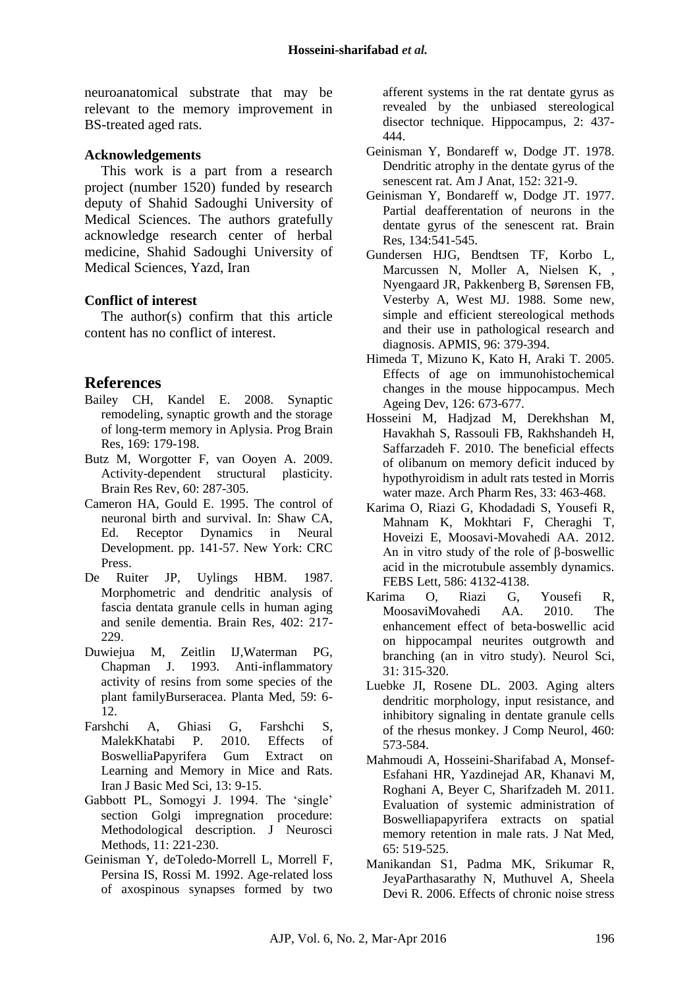neuroanatomical substrate that may be relevant to the memory improvement in BS-treated aged rats.

#### **Acknowledgements**

This work is a part from a research project (number 1520) funded by research deputy of Shahid Sadoughi University of Medical Sciences. The authors gratefully acknowledge research center of herbal medicine, Shahid Sadoughi University of Medical Sciences, Yazd, Iran

#### **Conflict of interest**

The author(s) confirm that this article content has no conflict of interest.

# **References**

- Bailey CH, Kandel E. 2008. Synaptic remodeling, synaptic growth and the storage of long-term memory in Aplysia. Prog Brain Res, 169: 179-198.
- Butz M, Worgotter F, van Ooyen A. 2009. Activity-dependent structural plasticity. Brain Res Rev, 60: 287-305.
- Cameron HA, Gould E. 1995. The control of neuronal birth and survival. In: Shaw CA, Ed. Receptor Dynamics in Neural Development. pp. 141-57. New York: CRC Press.
- De Ruiter JP, Uylings HBM. 1987. Morphometric and dendritic analysis of fascia dentata granule cells in human aging and senile dementia. Brain Res, 402: 217- 229.
- Duwiejua M, Zeitlin IJ,Waterman PG, Chapman J. 1993. Anti-inflammatory activity of resins from some species of the plant familyBurseracea. Planta Med, 59: 6- 12.
- Farshchi A, Ghiasi G, Farshchi S, MalekKhatabi P. 2010. Effects of BoswelliaPapyrifera Gum Extract on Learning and Memory in Mice and Rats. Iran J Basic Med Sci, 13: 9-15.
- Gabbott PL, Somogyi J. 1994. The 'single' section Golgi impregnation procedure: Methodological description. J Neurosci Methods, 11: 221-230.
- [Geinisman Y,](http://www.ncbi.nlm.nih.gov/pubmed?term=Geinisman%20Y%5BAuthor%5D&cauthor=true&cauthor_uid=1308200) [deToledo-Morrell L,](http://www.ncbi.nlm.nih.gov/pubmed?term=deToledo-Morrell%20L%5BAuthor%5D&cauthor=true&cauthor_uid=1308200) [Morrell F,](http://www.ncbi.nlm.nih.gov/pubmed?term=Morrell%20F%5BAuthor%5D&cauthor=true&cauthor_uid=1308200) [Persina IS,](http://www.ncbi.nlm.nih.gov/pubmed?term=Persina%20IS%5BAuthor%5D&cauthor=true&cauthor_uid=1308200) [Rossi M.](http://www.ncbi.nlm.nih.gov/pubmed?term=Rossi%20M%5BAuthor%5D&cauthor=true&cauthor_uid=1308200) 1992. Age-related loss of axospinous synapses formed by two

afferent systems in the rat dentate gyrus as revealed by the unbiased stereological disector technique. [Hippocampus,](http://www.ncbi.nlm.nih.gov/pubmed/?term=Hippocampus+1992%3B2%3A437-444) 2: 437- 444.

- Geinisman Y, Bondareff w, Dodge JT. 1978. Dendritic atrophy in the dentate gyrus of the senescent rat. Am J Anat, 152: 321-9.
- Geinisman Y, Bondareff w, Dodge JT. 1977. Partial deafferentation of neurons in the dentate gyrus of the senescent rat. Brain Res, 134:541-545.
- Gundersen HJG, Bendtsen TF, Korbo L, Marcussen N, Moller A, Nielsen K, , Nyengaard JR, Pakkenberg B, Sørensen FB, Vesterby A, West MJ. 1988. Some new, simple and efficient stereological methods and their use in pathological research and diagnosis. APMIS, 96: 379-394.
- Himeda T, Mizuno K, Kato H, Araki T. 2005. Effects of age on immunohistochemical changes in the mouse hippocampus. [Mech](http://www.ncbi.nlm.nih.gov/pubmed/?term=Mechanisms+of+Ageing+and+Development+2005%3B126%3A673-7.)  [Ageing Dev,](http://www.ncbi.nlm.nih.gov/pubmed/?term=Mechanisms+of+Ageing+and+Development+2005%3B126%3A673-7.) 126: 673-677.
- Hosseini M, Hadjzad M, Derekhshan M, Havakhah S, Rassouli FB, Rakhshandeh H, Saffarzadeh F. 2010. The beneficial effects of olibanum on memory deficit induced by hypothyroidism in adult rats tested in Morris water maze. Arch Pharm Res, 33: 463-468.
- [Karima O,](http://www.ncbi.nlm.nih.gov/pubmed?term=Karima%20O%5BAuthor%5D&cauthor=true&cauthor_uid=23098754) [Riazi G,](http://www.ncbi.nlm.nih.gov/pubmed?term=Riazi%20G%5BAuthor%5D&cauthor=true&cauthor_uid=23098754) [Khodadadi S,](http://www.ncbi.nlm.nih.gov/pubmed?term=Khodadadi%20S%5BAuthor%5D&cauthor=true&cauthor_uid=23098754) [Yousefi R,](http://www.ncbi.nlm.nih.gov/pubmed?term=Yousefi%20R%5BAuthor%5D&cauthor=true&cauthor_uid=23098754) [Mahnam K,](http://www.ncbi.nlm.nih.gov/pubmed?term=Mahnam%20K%5BAuthor%5D&cauthor=true&cauthor_uid=23098754) [Mokhtari F,](http://www.ncbi.nlm.nih.gov/pubmed?term=Mokhtari%20F%5BAuthor%5D&cauthor=true&cauthor_uid=23098754) [Cheraghi T,](http://www.ncbi.nlm.nih.gov/pubmed?term=Cheraghi%20T%5BAuthor%5D&cauthor=true&cauthor_uid=23098754) [Hoveizi E,](http://www.ncbi.nlm.nih.gov/pubmed?term=Hoveizi%20E%5BAuthor%5D&cauthor=true&cauthor_uid=23098754) [Moosavi-Movahedi AA.](http://www.ncbi.nlm.nih.gov/pubmed?term=Moosavi-Movahedi%20AA%5BAuthor%5D&cauthor=true&cauthor_uid=23098754) 2012. An in vitro study of the role of β-boswellic acid in the microtubule assembly dynamics. [FEBS Lett,](http://www.ncbi.nlm.nih.gov/pubmed/23098754) 586: 4132-4138.
- Karima O, Riazi G, Yousefi R, MoosaviMovahedi AA. 2010. The enhancement effect of beta-boswellic acid on hippocampal neurites outgrowth and branching (an in vitro study). Neurol Sci, 31: 315-320.
- [Luebke JI,](http://www.ncbi.nlm.nih.gov/pubmed?term=Luebke%20JI%5BAuthor%5D&cauthor=true&cauthor_uid=12717715) [Rosene DL.](http://www.ncbi.nlm.nih.gov/pubmed?term=Rosene%20DL%5BAuthor%5D&cauthor=true&cauthor_uid=12717715) 2003. Aging alters dendritic morphology, input resistance, and inhibitory signaling in dentate granule cells of the rhesus monkey. [J Comp Neurol,](http://www.ncbi.nlm.nih.gov/pubmed/?term=The+journal+of+comparative+neurology+2003%3B+460%3A+573-584) 460: 573-584.
- Mahmoudi A, Hosseini-Sharifabad A, Monsef-Esfahani HR, [Yazdinejad AR,](http://www.ncbi.nlm.nih.gov/pubmed?term=Yazdinejad%20AR%5BAuthor%5D&cauthor=true&cauthor_uid=21479965) [Khanavi M,](http://www.ncbi.nlm.nih.gov/pubmed?term=Khanavi%20M%5BAuthor%5D&cauthor=true&cauthor_uid=21479965) [Roghani A,](http://www.ncbi.nlm.nih.gov/pubmed?term=Roghani%20A%5BAuthor%5D&cauthor=true&cauthor_uid=21479965) [Beyer C,](http://www.ncbi.nlm.nih.gov/pubmed?term=Beyer%20C%5BAuthor%5D&cauthor=true&cauthor_uid=21479965) [Sharifzadeh M.](http://www.ncbi.nlm.nih.gov/pubmed?term=Sharifzadeh%20M%5BAuthor%5D&cauthor=true&cauthor_uid=21479965) 2011. Evaluation of systemic administration of Boswelliapapyrifera extracts on spatial memory retention in male rats. J Nat Med, 65: 519-525.
- [Manikandan S1](http://www.ncbi.nlm.nih.gov/pubmed/?term=Manikandan%20S%5BAuthor%5D&cauthor=true&cauthor_uid=16481110), [Padma MK,](http://www.ncbi.nlm.nih.gov/pubmed/?term=Padma%20MK%5BAuthor%5D&cauthor=true&cauthor_uid=16481110) [Srikumar R,](http://www.ncbi.nlm.nih.gov/pubmed/?term=Srikumar%20R%5BAuthor%5D&cauthor=true&cauthor_uid=16481110) [JeyaParthasarathy N,](http://www.ncbi.nlm.nih.gov/pubmed/?term=Jeya%20Parthasarathy%20N%5BAuthor%5D&cauthor=true&cauthor_uid=16481110) [Muthuvel A,](http://www.ncbi.nlm.nih.gov/pubmed/?term=Muthuvel%20A%5BAuthor%5D&cauthor=true&cauthor_uid=16481110) [Sheela](http://www.ncbi.nlm.nih.gov/pubmed/?term=Sheela%20Devi%20R%5BAuthor%5D&cauthor=true&cauthor_uid=16481110)  [Devi R.](http://www.ncbi.nlm.nih.gov/pubmed/?term=Sheela%20Devi%20R%5BAuthor%5D&cauthor=true&cauthor_uid=16481110) 2006. Effects of chronic noise stress